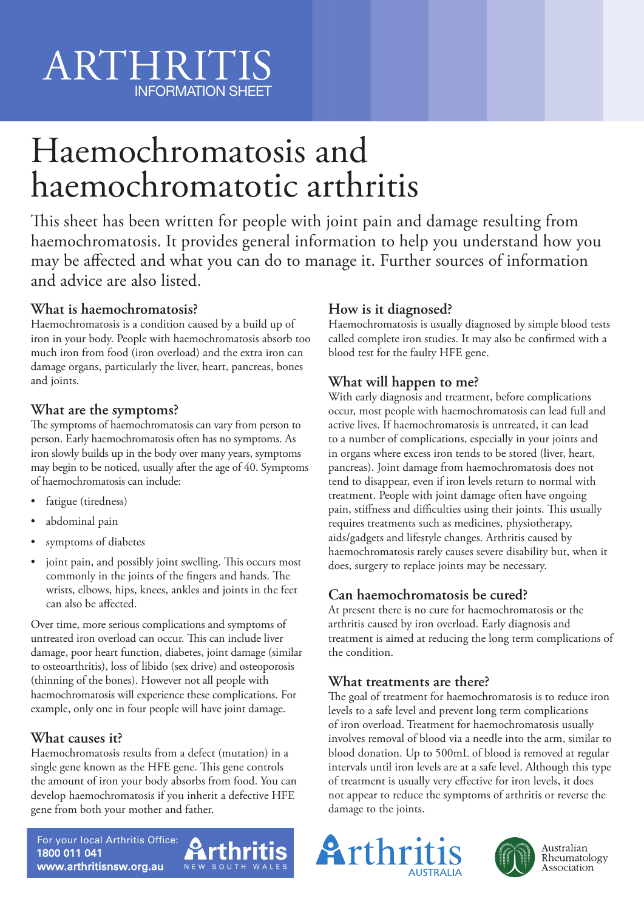# Haemochromatosis and haemochromatotic arthritis

This sheet has been written for people with joint pain and damage resulting from haemochromatosis. It provides general information to help you understand how you may be affected and what you can do to manage it. Further sources of information and advice are also listed.

# **What is haemochromatosis?**

Haemochromatosis is a condition caused by a build up of iron in your body. People with haemochromatosis absorb too much iron from food (iron overload) and the extra iron can damage organs, particularly the liver, heart, pancreas, bones and joints.

## **What are the symptoms?**

The symptoms of haemochromatosis can vary from person to person. Early haemochromatosis often has no symptoms. As iron slowly builds up in the body over many years, symptoms may begin to be noticed, usually after the age of 40. Symptoms of haemochromatosis can include:

- fatigue (tiredness)
- abdominal pain
- symptoms of diabetes
- joint pain, and possibly joint swelling. This occurs most commonly in the joints of the fingers and hands. The wrists, elbows, hips, knees, ankles and joints in the feet can also be affected.

Over time, more serious complications and symptoms of untreated iron overload can occur. This can include liver damage, poor heart function, diabetes, joint damage (similar to osteoarthritis), loss of libido (sex drive) and osteoporosis (thinning of the bones). However not all people with haemochromatosis will experience these complications. For example, only one in four people will have joint damage.

# **What causes it?**

Haemochromatosis results from a defect (mutation) in a single gene known as the HFE gene. This gene controls the amount of iron your body absorbs from food. You can develop haemochromatosis if you inherit a defective HFE gene from both your mother and father.

NEW SOUTH WALES

# **How is it diagnosed?**

Haemochromatosis is usually diagnosed by simple blood tests called complete iron studies. It may also be confirmed with a blood test for the faulty HFE gene.

# **What will happen to me?**

With early diagnosis and treatment, before complications occur, most people with haemochromatosis can lead full and active lives. If haemochromatosis is untreated, it can lead to a number of complications, especially in your joints and in organs where excess iron tends to be stored (liver, heart, pancreas). Joint damage from haemochromatosis does not tend to disappear, even if iron levels return to normal with treatment. People with joint damage often have ongoing pain, stiffness and difficulties using their joints. This usually requires treatments such as medicines, physiotherapy, aids/gadgets and lifestyle changes. Arthritis caused by haemochromatosis rarely causes severe disability but, when it does, surgery to replace joints may be necessary.

# **Can haemochromatosis be cured?**

At present there is no cure for haemochromatosis or the arthritis caused by iron overload. Early diagnosis and treatment is aimed at reducing the long term complications of the condition.

### **What treatments are there?**

The goal of treatment for haemochromatosis is to reduce iron levels to a safe level and prevent long term complications of iron overload. Treatment for haemochromatosis usually involves removal of blood via a needle into the arm, similar to blood donation. Up to 500mL of blood is removed at regular intervals until iron levels are at a safe level. Although this type of treatment is usually very effective for iron levels, it does not appear to reduce the symptoms of arthritis or reverse the damage to the joints.





Australian Rheumatology Association